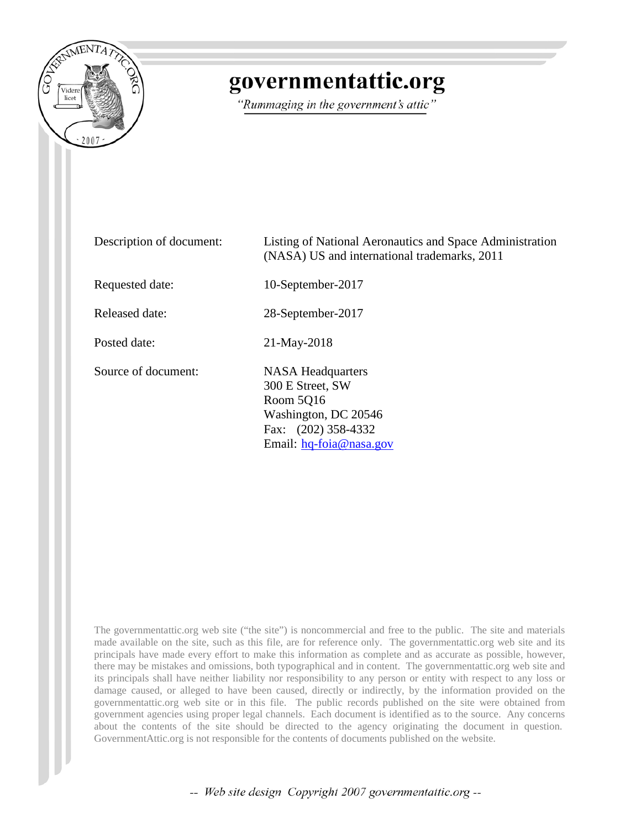

# governmentattic.org

"Rummaging in the government's attic"

| Description of document: | Listing of National Aeronautics and Space Administration<br>(NASA) US and international trademarks, 2011                               |
|--------------------------|----------------------------------------------------------------------------------------------------------------------------------------|
| Requested date:          | 10-September-2017                                                                                                                      |
| Released date:           | 28-September-2017                                                                                                                      |
| Posted date:             | 21-May-2018                                                                                                                            |
| Source of document:      | <b>NASA</b> Headquarters<br>300 E Street, SW<br>Room 5016<br>Washington, DC 20546<br>Fax: (202) 358-4332<br>Email: $hq$ -foia@nasa.gov |

The governmentattic.org web site ("the site") is noncommercial and free to the public. The site and materials made available on the site, such as this file, are for reference only. The governmentattic.org web site and its principals have made every effort to make this information as complete and as accurate as possible, however, there may be mistakes and omissions, both typographical and in content. The governmentattic.org web site and its principals shall have neither liability nor responsibility to any person or entity with respect to any loss or damage caused, or alleged to have been caused, directly or indirectly, by the information provided on the governmentattic.org web site or in this file. The public records published on the site were obtained from government agencies using proper legal channels. Each document is identified as to the source. Any concerns about the contents of the site should be directed to the agency originating the document in question. GovernmentAttic.org is not responsible for the contents of documents published on the website.

-- Web site design Copyright 2007 governmentattic.org --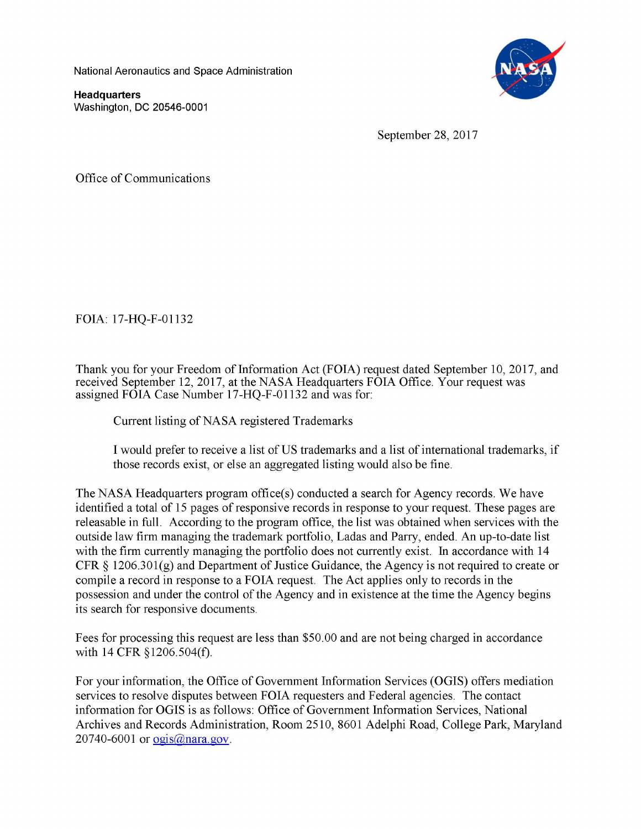National Aeronautics and Space Administration

**Headquarters**  Washington, DC 20546-0001



September 28, 2017

Office of Communications

FOIA: 17-HQ-F-01132

Thank you for your Freedom of Information Act (FOIA) request dated September 10, 2017, and received September 12, 2017, at the NASA Headquarters FOIA Office. Your request was assigned FOIA Case Number 17-HQ-F-01132 and was for:

Current listing of NASA registered Trademarks

I would prefer to receive a list of US trademarks and a list of international trademarks, if those records exist, or else an aggregated listing would also be fine.

The NASA Headquarters program office(s) conducted a search for Agency records. We have identified a total of 15 pages of responsive records in response to your request. These pages are releasable in full. According to the program office, the list was obtained when services with the outside law firm managing the trademark portfolio, Ladas and Parry, ended. An up-to-date list with the firm currently managing the portfolio does not currently exist. In accordance with 14 CFR § 1206.30l(g) and Department of Justice Guidance, the Agency is not required to create or compile a record in response to a FOIA request. The Act applies only to records in the possession and under the control of the Agency and in existence at the time the Agency begins its search for responsive documents.

Fees for processing this request are less than \$50.00 and are not being charged in accordance with 14 CFR §1206.504(f).

For your information, the Office of Government Information Services (OGIS) offers mediation services to resolve disputes between FOIA requesters and Federal agencies. The contact information for OGIS is as follows: Office of Government Information Services, National Archives and Records Administration, Room 2510, 8601 Adelphi Road, College Park, Maryland 20740-6001 or ogis@nara.gov.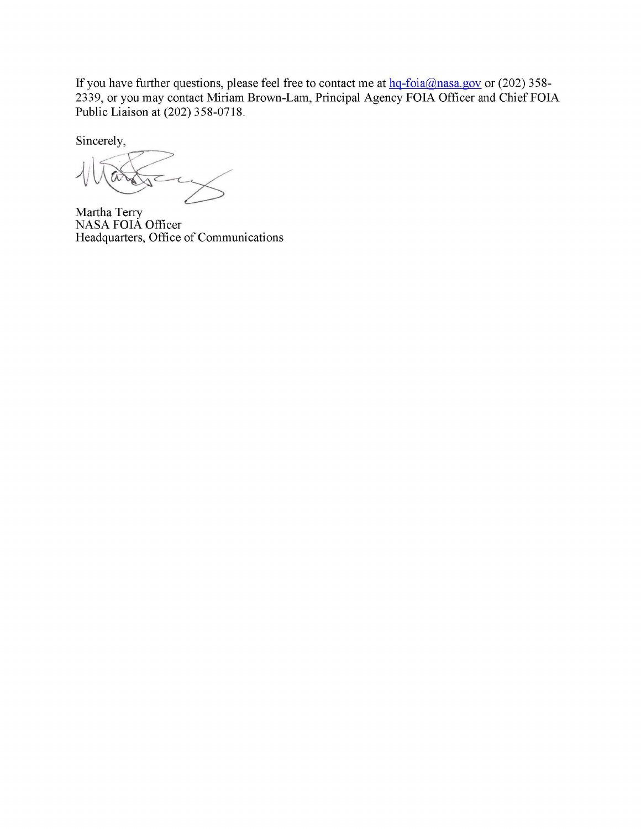If you have further questions, please feel free to contact me at  $hq$ -foia@nasa.gov or (202) 358-2339, or you may contact Miriam Brown-Lam, Principal Agency FOIA Officer and Chief FOIA Public Liaison at (202) 358-0718.

Sincerely,

Martha Terry NASA FOIA Officer Headquarters, Office of Communications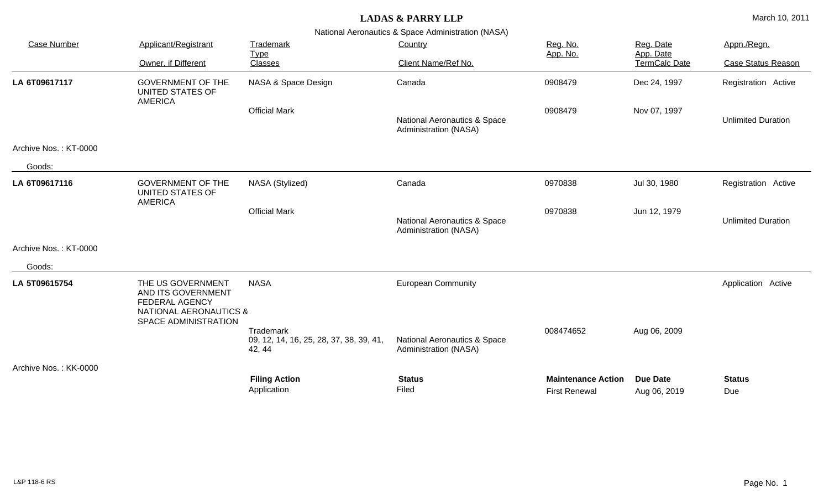| <b>Case Number</b>    | Applicant/Registrant                                                                                                          | Trademark                                                      | Country<br>Client Name/Ref No.                        | Reg. No.                                          | Reg. Date<br>App. Date<br>TermCalc Date | Appn./Regn.               |
|-----------------------|-------------------------------------------------------------------------------------------------------------------------------|----------------------------------------------------------------|-------------------------------------------------------|---------------------------------------------------|-----------------------------------------|---------------------------|
|                       | Owner, if Different                                                                                                           | <b>Type</b><br>Classes                                         |                                                       | App. No.                                          |                                         | <b>Case Status Reason</b> |
| LA 6T09617117         | <b>GOVERNMENT OF THE</b><br>UNITED STATES OF<br><b>AMERICA</b>                                                                | NASA & Space Design                                            | Canada                                                | 0908479                                           | Dec 24, 1997                            | Registration Active       |
|                       |                                                                                                                               | <b>Official Mark</b>                                           | National Aeronautics & Space<br>Administration (NASA) | 0908479                                           | Nov 07, 1997                            | <b>Unlimited Duration</b> |
| Archive Nos.: KT-0000 |                                                                                                                               |                                                                |                                                       |                                                   |                                         |                           |
| Goods:                |                                                                                                                               |                                                                |                                                       |                                                   |                                         |                           |
| LA 6T09617116         | <b>GOVERNMENT OF THE</b><br>UNITED STATES OF<br><b>AMERICA</b>                                                                | NASA (Stylized)                                                | Canada                                                | 0970838                                           | Jul 30, 1980                            | Registration Active       |
|                       |                                                                                                                               | <b>Official Mark</b>                                           | National Aeronautics & Space<br>Administration (NASA) | 0970838                                           | Jun 12, 1979                            | <b>Unlimited Duration</b> |
| Archive Nos.: KT-0000 |                                                                                                                               |                                                                |                                                       |                                                   |                                         |                           |
| Goods:                |                                                                                                                               |                                                                |                                                       |                                                   |                                         |                           |
| LA 5T09615754         | THE US GOVERNMENT<br>AND ITS GOVERNMENT<br><b>FEDERAL AGENCY</b><br><b>NATIONAL AERONAUTICS &amp;</b><br>SPACE ADMINISTRATION | <b>NASA</b>                                                    | <b>European Community</b>                             |                                                   |                                         | Application Active        |
|                       |                                                                                                                               | Trademark<br>09, 12, 14, 16, 25, 28, 37, 38, 39, 41,<br>42, 44 | National Aeronautics & Space<br>Administration (NASA) | 008474652                                         | Aug 06, 2009                            |                           |
| Archive Nos.: KK-0000 |                                                                                                                               |                                                                |                                                       |                                                   |                                         |                           |
|                       |                                                                                                                               | <b>Filing Action</b><br>Application                            | <b>Status</b><br>Filed                                | <b>Maintenance Action</b><br><b>First Renewal</b> | <b>Due Date</b><br>Aug 06, 2019         | <b>Status</b><br>Due      |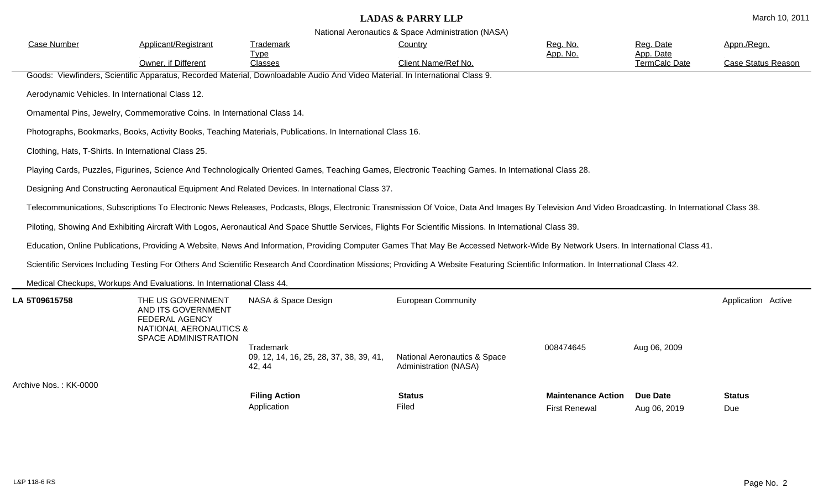| <b>Case Number</b>                                   | Applicant/Registrant                                                                           | Trademark                                                                                                                     | Country                                                                                                                                                                                            | Reg. No.                  | Reg. Date                         | Appn./Regn.               |  |  |
|------------------------------------------------------|------------------------------------------------------------------------------------------------|-------------------------------------------------------------------------------------------------------------------------------|----------------------------------------------------------------------------------------------------------------------------------------------------------------------------------------------------|---------------------------|-----------------------------------|---------------------------|--|--|
|                                                      | Owner, if Different                                                                            | <b>Type</b><br>Classes                                                                                                        | Client Name/Ref No.                                                                                                                                                                                | App. No.                  | App. Date<br><b>TermCalc Date</b> | <b>Case Status Reason</b> |  |  |
|                                                      |                                                                                                | Goods: Viewfinders, Scientific Apparatus, Recorded Material, Downloadable Audio And Video Material. In International Class 9. |                                                                                                                                                                                                    |                           |                                   |                           |  |  |
|                                                      | Aerodynamic Vehicles. In International Class 12.                                               |                                                                                                                               |                                                                                                                                                                                                    |                           |                                   |                           |  |  |
|                                                      | Ornamental Pins, Jewelry, Commemorative Coins. In International Class 14.                      |                                                                                                                               |                                                                                                                                                                                                    |                           |                                   |                           |  |  |
|                                                      |                                                                                                | Photographs, Bookmarks, Books, Activity Books, Teaching Materials, Publications. In International Class 16.                   |                                                                                                                                                                                                    |                           |                                   |                           |  |  |
| Clothing, Hats, T-Shirts. In International Class 25. |                                                                                                |                                                                                                                               |                                                                                                                                                                                                    |                           |                                   |                           |  |  |
|                                                      |                                                                                                |                                                                                                                               | Playing Cards, Puzzles, Figurines, Science And Technologically Oriented Games, Teaching Games, Electronic Teaching Games. In International Class 28.                                               |                           |                                   |                           |  |  |
|                                                      |                                                                                                | Designing And Constructing Aeronautical Equipment And Related Devices. In International Class 37.                             |                                                                                                                                                                                                    |                           |                                   |                           |  |  |
|                                                      |                                                                                                |                                                                                                                               | Telecommunications, Subscriptions To Electronic News Releases, Podcasts, Blogs, Electronic Transmission Of Voice, Data And Images By Television And Video Broadcasting. In International Class 38. |                           |                                   |                           |  |  |
|                                                      |                                                                                                |                                                                                                                               | Piloting, Showing And Exhibiting Aircraft With Logos, Aeronautical And Space Shuttle Services, Flights For Scientific Missions. In International Class 39.                                         |                           |                                   |                           |  |  |
|                                                      |                                                                                                |                                                                                                                               | Education, Online Publications, Providing A Website, News And Information, Providing Computer Games That May Be Accessed Network-Wide By Network Users. In International Class 41.                 |                           |                                   |                           |  |  |
|                                                      |                                                                                                |                                                                                                                               | Scientific Services Including Testing For Others And Scientific Research And Coordination Missions; Providing A Website Featuring Scientific Information. In International Class 42.               |                           |                                   |                           |  |  |
|                                                      | Medical Checkups, Workups And Evaluations. In International Class 44.                          |                                                                                                                               |                                                                                                                                                                                                    |                           |                                   |                           |  |  |
| LA 5T09615758                                        | THE US GOVERNMENT<br>AND ITS GOVERNMENT<br>FEDERAL AGENCY<br><b>NATIONAL AERONAUTICS &amp;</b> | NASA & Space Design                                                                                                           | <b>European Community</b>                                                                                                                                                                          |                           |                                   | Application Active        |  |  |
|                                                      | SPACE ADMINISTRATION                                                                           | Trademark<br>09, 12, 14, 16, 25, 28, 37, 38, 39, 41,<br>42, 44                                                                | <b>National Aeronautics &amp; Space</b><br>Administration (NASA)                                                                                                                                   | 008474645                 | Aug 06, 2009                      |                           |  |  |
| Archive Nos.: KK-0000                                |                                                                                                | <b>Filing Action</b>                                                                                                          | <b>Status</b>                                                                                                                                                                                      | <b>Maintenance Action</b> | <b>Due Date</b>                   | <b>Status</b>             |  |  |
|                                                      |                                                                                                | Application                                                                                                                   | Filed                                                                                                                                                                                              | <b>First Renewal</b>      | Aug 06, 2019                      | Due                       |  |  |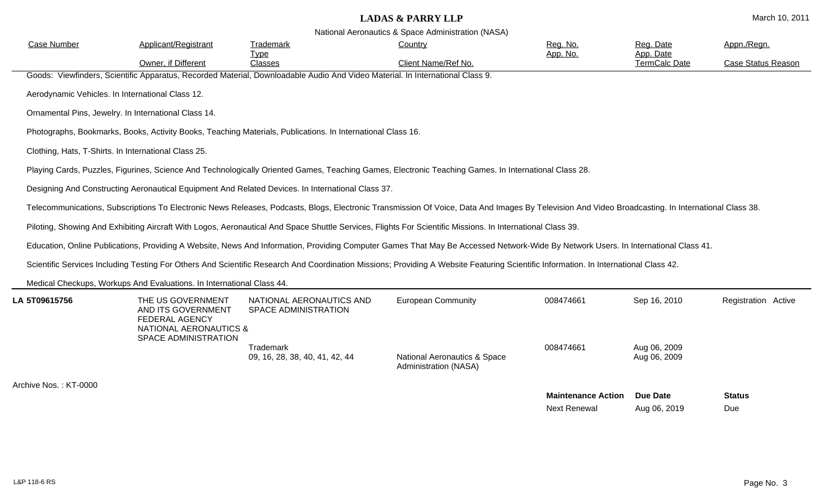| <b>Case Number</b>                               | Applicant/Registrant                                                                           | Trademark                                                                                                                     | Country                                                                                                                                                                                            | Reg. No.                                         | Reg. Date                         | Appn./Regn.               |
|--------------------------------------------------|------------------------------------------------------------------------------------------------|-------------------------------------------------------------------------------------------------------------------------------|----------------------------------------------------------------------------------------------------------------------------------------------------------------------------------------------------|--------------------------------------------------|-----------------------------------|---------------------------|
|                                                  | Owner, if Different                                                                            | <u>Type</u><br>Classes                                                                                                        | Client Name/Ref No.                                                                                                                                                                                | App. No.                                         | App. Date<br><b>TermCalc Date</b> | <b>Case Status Reason</b> |
|                                                  |                                                                                                | Goods: Viewfinders, Scientific Apparatus, Recorded Material, Downloadable Audio And Video Material. In International Class 9. |                                                                                                                                                                                                    |                                                  |                                   |                           |
| Aerodynamic Vehicles. In International Class 12. |                                                                                                |                                                                                                                               |                                                                                                                                                                                                    |                                                  |                                   |                           |
|                                                  | Ornamental Pins, Jewelry. In International Class 14.                                           |                                                                                                                               |                                                                                                                                                                                                    |                                                  |                                   |                           |
|                                                  |                                                                                                | Photographs, Bookmarks, Books, Activity Books, Teaching Materials, Publications. In International Class 16.                   |                                                                                                                                                                                                    |                                                  |                                   |                           |
|                                                  | Clothing, Hats, T-Shirts. In International Class 25.                                           |                                                                                                                               |                                                                                                                                                                                                    |                                                  |                                   |                           |
|                                                  |                                                                                                |                                                                                                                               | Playing Cards, Puzzles, Figurines, Science And Technologically Oriented Games, Teaching Games, Electronic Teaching Games. In International Class 28.                                               |                                                  |                                   |                           |
|                                                  |                                                                                                | Designing And Constructing Aeronautical Equipment And Related Devices. In International Class 37.                             |                                                                                                                                                                                                    |                                                  |                                   |                           |
|                                                  |                                                                                                |                                                                                                                               | Telecommunications, Subscriptions To Electronic News Releases, Podcasts, Blogs, Electronic Transmission Of Voice, Data And Images By Television And Video Broadcasting. In International Class 38. |                                                  |                                   |                           |
|                                                  |                                                                                                |                                                                                                                               | Piloting, Showing And Exhibiting Aircraft With Logos, Aeronautical And Space Shuttle Services, Flights For Scientific Missions. In International Class 39.                                         |                                                  |                                   |                           |
|                                                  |                                                                                                |                                                                                                                               | Education, Online Publications, Providing A Website, News And Information, Providing Computer Games That May Be Accessed Network-Wide By Network Users. In International Class 41.                 |                                                  |                                   |                           |
|                                                  |                                                                                                |                                                                                                                               | Scientific Services Including Testing For Others And Scientific Research And Coordination Missions; Providing A Website Featuring Scientific Information. In International Class 42.               |                                                  |                                   |                           |
|                                                  | Medical Checkups, Workups And Evaluations. In International Class 44.                          |                                                                                                                               |                                                                                                                                                                                                    |                                                  |                                   |                           |
| LA 5T09615756                                    | THE US GOVERNMENT<br>AND ITS GOVERNMENT<br>FEDERAL AGENCY<br><b>NATIONAL AERONAUTICS &amp;</b> | NATIONAL AERONAUTICS AND<br><b>SPACE ADMINISTRATION</b>                                                                       | <b>European Community</b>                                                                                                                                                                          | 008474661                                        | Sep 16, 2010                      | Registration Active       |
|                                                  | SPACE ADMINISTRATION                                                                           | Trademark<br>09, 16, 28, 38, 40, 41, 42, 44                                                                                   | <b>National Aeronautics &amp; Space</b><br>Administration (NASA)                                                                                                                                   | 008474661                                        | Aug 06, 2009<br>Aug 06, 2009      |                           |
| Archive Nos.: KT-0000                            |                                                                                                |                                                                                                                               |                                                                                                                                                                                                    |                                                  |                                   |                           |
|                                                  |                                                                                                |                                                                                                                               |                                                                                                                                                                                                    | <b>Maintenance Action</b><br><b>Next Renewal</b> | <b>Due Date</b><br>Aug 06, 2019   | <b>Status</b><br>Due      |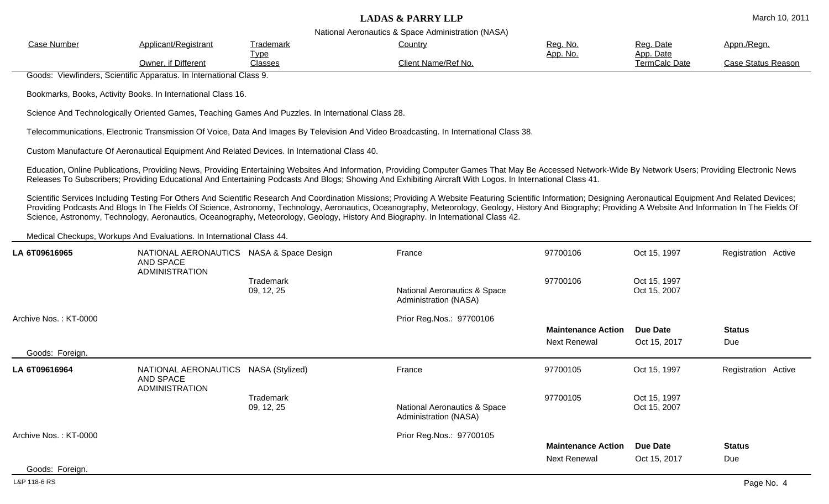| National Aeronautics & Space Administration (NASA)                                                                                                                                                                                                                                                                                                                                                                                                                                                                                                                  |                                                                                                                                                                                                                                                                                                                                                                       |                                                                                                                                        |                     |                 |                                   |                    |
|---------------------------------------------------------------------------------------------------------------------------------------------------------------------------------------------------------------------------------------------------------------------------------------------------------------------------------------------------------------------------------------------------------------------------------------------------------------------------------------------------------------------------------------------------------------------|-----------------------------------------------------------------------------------------------------------------------------------------------------------------------------------------------------------------------------------------------------------------------------------------------------------------------------------------------------------------------|----------------------------------------------------------------------------------------------------------------------------------------|---------------------|-----------------|-----------------------------------|--------------------|
| <b>Case Number</b>                                                                                                                                                                                                                                                                                                                                                                                                                                                                                                                                                  | Applicant/Registrant                                                                                                                                                                                                                                                                                                                                                  | <u>Trademark</u>                                                                                                                       | Country             | Reg. No.        | Reg. Date                         | Appn./Regn.        |
|                                                                                                                                                                                                                                                                                                                                                                                                                                                                                                                                                                     | Owner, if Different                                                                                                                                                                                                                                                                                                                                                   | <u>Type</u><br>Classes                                                                                                                 | Client Name/Ref No. | <u>App. No.</u> | App. Date<br><b>TermCalc Date</b> | Case Status Reason |
|                                                                                                                                                                                                                                                                                                                                                                                                                                                                                                                                                                     | Goods: Viewfinders, Scientific Apparatus. In International Class 9.                                                                                                                                                                                                                                                                                                   |                                                                                                                                        |                     |                 |                                   |                    |
|                                                                                                                                                                                                                                                                                                                                                                                                                                                                                                                                                                     | Bookmarks, Books, Activity Books. In International Class 16.                                                                                                                                                                                                                                                                                                          |                                                                                                                                        |                     |                 |                                   |                    |
|                                                                                                                                                                                                                                                                                                                                                                                                                                                                                                                                                                     |                                                                                                                                                                                                                                                                                                                                                                       | Science And Technologically Oriented Games, Teaching Games And Puzzles. In International Class 28.                                     |                     |                 |                                   |                    |
|                                                                                                                                                                                                                                                                                                                                                                                                                                                                                                                                                                     |                                                                                                                                                                                                                                                                                                                                                                       | Telecommunications, Electronic Transmission Of Voice, Data And Images By Television And Video Broadcasting. In International Class 38. |                     |                 |                                   |                    |
|                                                                                                                                                                                                                                                                                                                                                                                                                                                                                                                                                                     |                                                                                                                                                                                                                                                                                                                                                                       | Custom Manufacture Of Aeronautical Equipment And Related Devices. In International Class 40.                                           |                     |                 |                                   |                    |
|                                                                                                                                                                                                                                                                                                                                                                                                                                                                                                                                                                     | Education, Online Publications, Providing News, Providing Entertaining Websites And Information, Providing Computer Games That May Be Accessed Network-Wide By Network Users; Providing Electronic News<br>Releases To Subscribers; Providing Educational And Entertaining Podcasts And Blogs; Showing And Exhibiting Aircraft With Logos. In International Class 41. |                                                                                                                                        |                     |                 |                                   |                    |
| Scientific Services Including Testing For Others And Scientific Research And Coordination Missions; Providing A Website Featuring Scientific Information; Designing Aeronautical Equipment And Related Devices;<br>Providing Podcasts And Blogs In The Fields Of Science, Astronomy, Technology, Aeronautics, Oceanography, Meteorology, Geology, History And Biography; Providing A Website And Information In The Fields Of<br>Science, Astronomy, Technology, Aeronautics, Oceanography, Meteorology, Geology, History And Biography. In International Class 42. |                                                                                                                                                                                                                                                                                                                                                                       |                                                                                                                                        |                     |                 |                                   |                    |
|                                                                                                                                                                                                                                                                                                                                                                                                                                                                                                                                                                     | Medical Checkups, Workups And Evaluations. In International Class 44.                                                                                                                                                                                                                                                                                                 |                                                                                                                                        |                     |                 |                                   |                    |

| LA 6T09616965                            | NATIONAL AERONAUTICS NASA & Space Design<br>AND SPACE |                                | France                                                | 97700106                                         | Oct 15, 1997                    | Registration Active  |
|------------------------------------------|-------------------------------------------------------|--------------------------------|-------------------------------------------------------|--------------------------------------------------|---------------------------------|----------------------|
|                                          | <b>ADMINISTRATION</b>                                 | <b>Trademark</b><br>09, 12, 25 | National Aeronautics & Space<br>Administration (NASA) | 97700106                                         | Oct 15, 1997<br>Oct 15, 2007    |                      |
| Archive Nos.: KT-0000<br>Goods: Foreign. |                                                       |                                | Prior Reg.Nos.: 97700106                              | <b>Maintenance Action</b><br><b>Next Renewal</b> | <b>Due Date</b><br>Oct 15, 2017 | <b>Status</b><br>Due |
| LA 6T09616964                            | NATIONAL AERONAUTICS<br><b>AND SPACE</b>              | NASA (Stylized)                | France                                                | 97700105                                         | Oct 15, 1997                    | Registration Active  |
|                                          | <b>ADMINISTRATION</b>                                 | Trademark<br>09, 12, 25        | National Aeronautics & Space<br>Administration (NASA) | 97700105                                         | Oct 15, 1997<br>Oct 15, 2007    |                      |
| Archive Nos.: KT-0000                    |                                                       |                                | Prior Reg.Nos.: 97700105                              | <b>Maintenance Action</b>                        | <b>Due Date</b>                 | <b>Status</b>        |
|                                          |                                                       |                                |                                                       | <b>Next Renewal</b>                              | Oct 15, 2017                    | Due                  |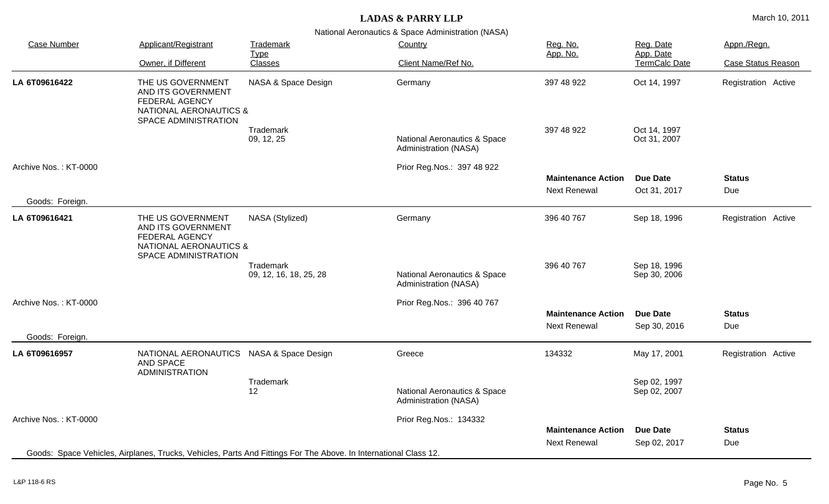National Aeronautics & Space Administration (NASA)

| <b>Case Number</b>                       | Applicant/Registrant                                                                                                          | Trademark<br><b>Type</b>            | Country                                               | Reg. No.<br>App. No.                             | Reg. Date<br>App. Date          | Appn./Regn.               |
|------------------------------------------|-------------------------------------------------------------------------------------------------------------------------------|-------------------------------------|-------------------------------------------------------|--------------------------------------------------|---------------------------------|---------------------------|
|                                          | Owner, if Different                                                                                                           | <b>Classes</b>                      | Client Name/Ref No.                                   |                                                  | TermCalc Date                   | <b>Case Status Reason</b> |
| LA 6T09616422                            | THE US GOVERNMENT<br>AND ITS GOVERNMENT<br><b>FEDERAL AGENCY</b><br><b>NATIONAL AERONAUTICS &amp;</b><br>SPACE ADMINISTRATION | NASA & Space Design                 | Germany                                               | 397 48 922                                       | Oct 14, 1997                    | Registration Active       |
|                                          |                                                                                                                               | Trademark<br>09, 12, 25             | National Aeronautics & Space<br>Administration (NASA) | 397 48 922                                       | Oct 14, 1997<br>Oct 31, 2007    |                           |
| Archive Nos.: KT-0000                    |                                                                                                                               |                                     | Prior Reg. Nos.: 397 48 922                           | <b>Maintenance Action</b><br><b>Next Renewal</b> | <b>Due Date</b><br>Oct 31, 2017 | <b>Status</b><br>Due      |
| Goods: Foreign.                          |                                                                                                                               |                                     |                                                       |                                                  |                                 |                           |
| LA 6T09616421                            | THE US GOVERNMENT<br>AND ITS GOVERNMENT<br><b>FEDERAL AGENCY</b><br><b>NATIONAL AERONAUTICS &amp;</b><br>SPACE ADMINISTRATION | NASA (Stylized)                     | Germany                                               | 396 40 767                                       | Sep 18, 1996                    | Registration Active       |
|                                          |                                                                                                                               | Trademark<br>09, 12, 16, 18, 25, 28 | National Aeronautics & Space<br>Administration (NASA) | 396 40 767                                       | Sep 18, 1996<br>Sep 30, 2006    |                           |
| Archive Nos.: KT-0000<br>Goods: Foreign. |                                                                                                                               |                                     | Prior Reg. Nos.: 396 40 767                           | <b>Maintenance Action</b><br><b>Next Renewal</b> | <b>Due Date</b><br>Sep 30, 2016 | <b>Status</b><br>Due      |
| LA 6T09616957                            | NATIONAL AERONAUTICS                                                                                                          | NASA & Space Design                 | Greece                                                | 134332                                           | May 17, 2001                    | Registration Active       |
|                                          | <b>AND SPACE</b><br><b>ADMINISTRATION</b>                                                                                     |                                     |                                                       |                                                  |                                 |                           |
|                                          |                                                                                                                               | Trademark<br>12                     | National Aeronautics & Space<br>Administration (NASA) |                                                  | Sep 02, 1997<br>Sep 02, 2007    |                           |
| Archive Nos.: KT-0000                    |                                                                                                                               |                                     | Prior Reg.Nos.: 134332                                |                                                  |                                 |                           |
|                                          | Goods: Space Vehicles, Airplanes, Trucks, Vehicles, Parts And Fittings For The Above. In International Class 12.              |                                     |                                                       | <b>Maintenance Action</b><br><b>Next Renewal</b> | <b>Due Date</b><br>Sep 02, 2017 | <b>Status</b><br>Due      |

 $\overline{\phantom{a}}$ 

 $\sim$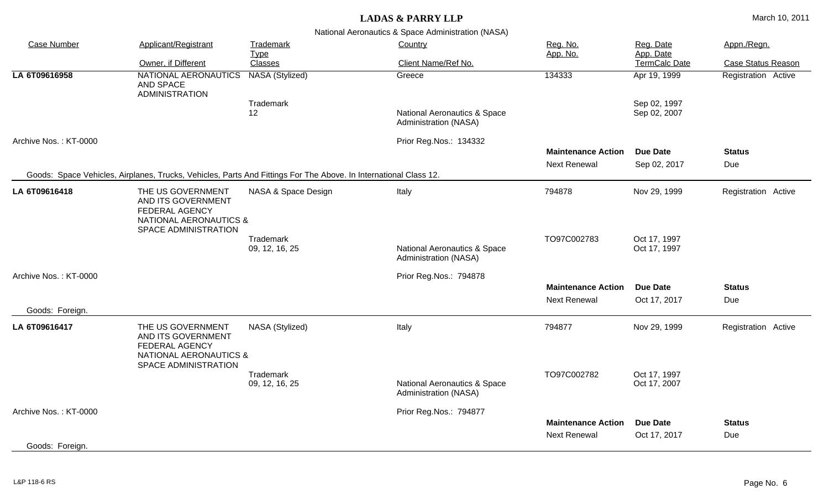| <b>Case Number</b>    | Applicant/Registrant                                                                                                          | Trademark<br>Country<br><b>Type</b> | Reg. No.<br>App. No.                                  | Reg. Date<br>App. Date                           | Appn./Regn.                     |                           |
|-----------------------|-------------------------------------------------------------------------------------------------------------------------------|-------------------------------------|-------------------------------------------------------|--------------------------------------------------|---------------------------------|---------------------------|
|                       | Owner, if Different                                                                                                           | Classes                             | Client Name/Ref No.                                   |                                                  | TermCalc Date                   | <b>Case Status Reason</b> |
| LA 6T09616958         | NATIONAL AERONAUTICS NASA (Stylized)<br>AND SPACE<br><b>ADMINISTRATION</b>                                                    |                                     | Greece                                                | 134333                                           | Apr 19, 1999                    | Registration Active       |
|                       |                                                                                                                               | Trademark<br>12                     | National Aeronautics & Space<br>Administration (NASA) |                                                  | Sep 02, 1997<br>Sep 02, 2007    |                           |
| Archive Nos.: KT-0000 |                                                                                                                               |                                     | Prior Reg.Nos.: 134332                                |                                                  |                                 |                           |
|                       |                                                                                                                               |                                     |                                                       | <b>Maintenance Action</b>                        | <b>Due Date</b>                 | <b>Status</b>             |
|                       |                                                                                                                               |                                     |                                                       | <b>Next Renewal</b>                              | Sep 02, 2017                    | Due                       |
|                       | Goods: Space Vehicles, Airplanes, Trucks, Vehicles, Parts And Fittings For The Above. In International Class 12.              |                                     |                                                       |                                                  |                                 |                           |
| LA 6T09616418         | THE US GOVERNMENT<br>AND ITS GOVERNMENT<br><b>FEDERAL AGENCY</b><br><b>NATIONAL AERONAUTICS &amp;</b><br>SPACE ADMINISTRATION | NASA & Space Design                 | Italy                                                 | 794878                                           | Nov 29, 1999                    | Registration Active       |
|                       |                                                                                                                               | Trademark<br>09, 12, 16, 25         | National Aeronautics & Space<br>Administration (NASA) | TO97C002783                                      | Oct 17, 1997<br>Oct 17, 1997    |                           |
| Archive Nos.: KT-0000 |                                                                                                                               |                                     | Prior Reg.Nos.: 794878                                |                                                  |                                 |                           |
|                       |                                                                                                                               |                                     |                                                       | <b>Maintenance Action</b><br><b>Next Renewal</b> | <b>Due Date</b><br>Oct 17, 2017 | <b>Status</b><br>Due      |
| Goods: Foreign.       |                                                                                                                               |                                     |                                                       |                                                  |                                 |                           |
| LA 6T09616417         | THE US GOVERNMENT<br>AND ITS GOVERNMENT<br><b>FEDERAL AGENCY</b><br><b>NATIONAL AERONAUTICS &amp;</b><br>SPACE ADMINISTRATION | NASA (Stylized)                     | Italy                                                 | 794877                                           | Nov 29, 1999                    | Registration Active       |
|                       |                                                                                                                               | Trademark<br>09, 12, 16, 25         | National Aeronautics & Space<br>Administration (NASA) | TO97C002782                                      | Oct 17, 1997<br>Oct 17, 2007    |                           |
| Archive Nos.: KT-0000 |                                                                                                                               |                                     | Prior Reg.Nos.: 794877                                | <b>Maintenance Action</b><br><b>Next Renewal</b> | <b>Due Date</b><br>Oct 17, 2017 | <b>Status</b><br>Due      |
| Goods: Foreign.       |                                                                                                                               |                                     |                                                       |                                                  |                                 |                           |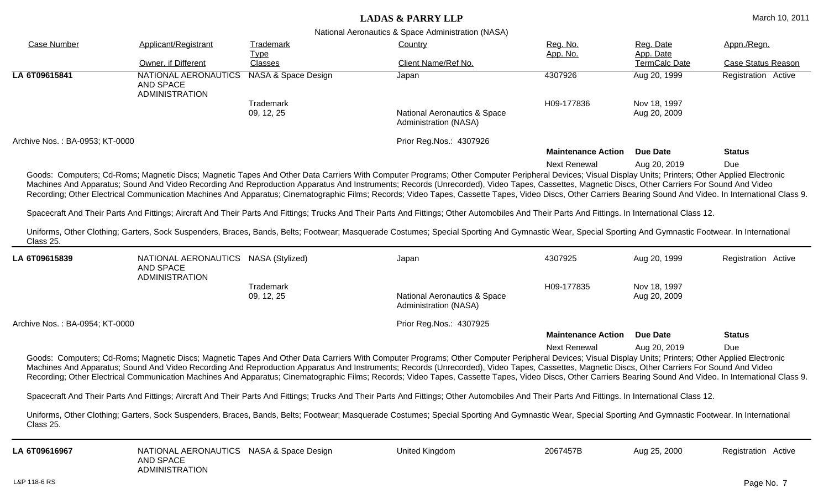| <b>Case Number</b>             | Applicant/Registrant                                                              | <b>Trademark</b>        | anonal , loronadhoo a opaco , lammonadion  (i w lor l<br><b>Country</b>                                                                                                                                                                                                                                                                                                                                                                                                                                                                                                                                                  | Reg. No.                  | Reg. Date                    | Appn./Regn.               |
|--------------------------------|-----------------------------------------------------------------------------------|-------------------------|--------------------------------------------------------------------------------------------------------------------------------------------------------------------------------------------------------------------------------------------------------------------------------------------------------------------------------------------------------------------------------------------------------------------------------------------------------------------------------------------------------------------------------------------------------------------------------------------------------------------------|---------------------------|------------------------------|---------------------------|
|                                | Owner, if Different                                                               | <b>Type</b><br>Classes  | Client Name/Ref No.                                                                                                                                                                                                                                                                                                                                                                                                                                                                                                                                                                                                      | App. No.                  | App. Date<br>TermCalc Date   | <b>Case Status Reason</b> |
| LA 6T09615841                  | NATIONAL AERONAUTICS<br><b>AND SPACE</b><br><b>ADMINISTRATION</b>                 | NASA & Space Design     | Japan                                                                                                                                                                                                                                                                                                                                                                                                                                                                                                                                                                                                                    | 4307926                   | Aug 20, 1999                 | Registration Active       |
|                                |                                                                                   | Trademark<br>09, 12, 25 | National Aeronautics & Space<br>Administration (NASA)                                                                                                                                                                                                                                                                                                                                                                                                                                                                                                                                                                    | H09-177836                | Nov 18, 1997<br>Aug 20, 2009 |                           |
| Archive Nos.: BA-0953; KT-0000 |                                                                                   |                         | Prior Reg.Nos.: 4307926                                                                                                                                                                                                                                                                                                                                                                                                                                                                                                                                                                                                  | <b>Maintenance Action</b> | <b>Due Date</b>              | <b>Status</b>             |
|                                |                                                                                   |                         |                                                                                                                                                                                                                                                                                                                                                                                                                                                                                                                                                                                                                          | <b>Next Renewal</b>       | Aug 20, 2019                 | Due                       |
|                                |                                                                                   |                         | Goods: Computers; Cd-Roms; Magnetic Discs; Magnetic Tapes And Other Data Carriers With Computer Programs; Other Computer Peripheral Devices; Visual Display Units; Printers; Other Applied Electronic<br>Machines And Apparatus; Sound And Video Recording And Reproduction Apparatus And Instruments; Records (Unrecorded), Video Tapes, Cassettes, Magnetic Discs, Other Carriers For Sound And Video<br>Recording; Other Electrical Communication Machines And Apparatus; Cinematographic Films; Records; Video Tapes, Cassette Tapes, Video Discs, Other Carriers Bearing Sound And Video. In International Class 9. |                           |                              |                           |
|                                |                                                                                   |                         | Spacecraft And Their Parts And Fittings; Aircraft And Their Parts And Fittings; Trucks And Their Parts And Fittings; Other Automobiles And Their Parts And Fittings. In International Class 12.                                                                                                                                                                                                                                                                                                                                                                                                                          |                           |                              |                           |
| Class 25.                      |                                                                                   |                         | Uniforms, Other Clothing; Garters, Sock Suspenders, Braces, Bands, Belts; Footwear; Masquerade Costumes; Special Sporting And Gymnastic Wear, Special Sporting And Gymnastic Footwear. In International                                                                                                                                                                                                                                                                                                                                                                                                                  |                           |                              |                           |
| LA 6T09615839                  | NATIONAL AERONAUTICS NASA (Stylized)<br><b>AND SPACE</b><br><b>ADMINISTRATION</b> |                         | Japan                                                                                                                                                                                                                                                                                                                                                                                                                                                                                                                                                                                                                    | 4307925                   | Aug 20, 1999                 | Registration Active       |
|                                |                                                                                   | Trademark<br>09, 12, 25 | <b>National Aeronautics &amp; Space</b><br>Administration (NASA)                                                                                                                                                                                                                                                                                                                                                                                                                                                                                                                                                         | H09-177835                | Nov 18, 1997<br>Aug 20, 2009 |                           |
| Archive Nos.: BA-0954; KT-0000 |                                                                                   |                         | Prior Reg. Nos.: 4307925                                                                                                                                                                                                                                                                                                                                                                                                                                                                                                                                                                                                 |                           |                              |                           |
|                                |                                                                                   |                         |                                                                                                                                                                                                                                                                                                                                                                                                                                                                                                                                                                                                                          | <b>Maintenance Action</b> | <b>Due Date</b>              | <b>Status</b>             |
|                                |                                                                                   |                         | Goods: Computers; Cd-Roms; Magnetic Discs; Magnetic Tapes And Other Data Carriers With Computer Programs; Other Computer Peripheral Devices; Visual Display Units; Printers; Other Applied Electronic<br>Machines And Apparatus; Sound And Video Recording And Reproduction Apparatus And Instruments; Records (Unrecorded), Video Tapes, Cassettes, Magnetic Discs, Other Carriers For Sound And Video<br>Recording; Other Electrical Communication Machines And Apparatus; Cinematographic Films; Records; Video Tapes, Cassette Tapes, Video Discs, Other Carriers Bearing Sound And Video. In International Class 9. | <b>Next Renewal</b>       | Aug 20, 2019                 | Due                       |
|                                |                                                                                   |                         | Spacecraft And Their Parts And Fittings; Aircraft And Their Parts And Fittings; Trucks And Their Parts And Fittings; Other Automobiles And Their Parts And Fittings. In International Class 12.                                                                                                                                                                                                                                                                                                                                                                                                                          |                           |                              |                           |
| Class 25.                      |                                                                                   |                         | Uniforms, Other Clothing; Garters, Sock Suspenders, Braces, Bands, Belts; Footwear; Masquerade Costumes; Special Sporting And Gymnastic Wear, Special Sporting And Gymnastic Footwear. In International                                                                                                                                                                                                                                                                                                                                                                                                                  |                           |                              |                           |
| LA 6T09616967                  | NATIONAL AERONAUTICS NASA & Space Design<br>AND SPACE<br><b>ADMINISTRATION</b>    |                         | United Kingdom                                                                                                                                                                                                                                                                                                                                                                                                                                                                                                                                                                                                           | 2067457B                  | Aug 25, 2000                 | Registration Active       |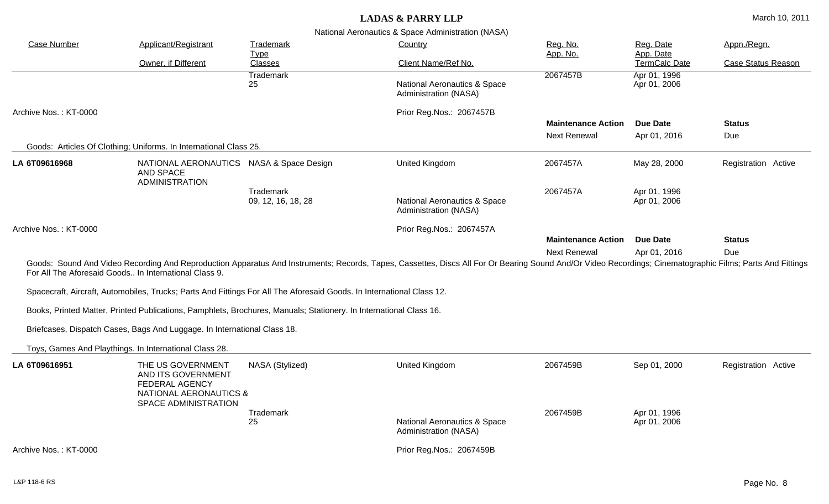| <b>Case Number</b>                                    | Applicant/Registrant                                                                                                                 | Trademark                                                                                                             | Country                                                                                                                                                                                                   | Reg. No.<br>App. No.                             | Reg. Date<br>App. Date       | Appn./Regn.               |
|-------------------------------------------------------|--------------------------------------------------------------------------------------------------------------------------------------|-----------------------------------------------------------------------------------------------------------------------|-----------------------------------------------------------------------------------------------------------------------------------------------------------------------------------------------------------|--------------------------------------------------|------------------------------|---------------------------|
|                                                       | Owner, if Different                                                                                                                  | <b>Type</b><br>Classes                                                                                                | Client Name/Ref No.                                                                                                                                                                                       |                                                  | TermCalc Date                | <b>Case Status Reason</b> |
|                                                       |                                                                                                                                      | <b>Trademark</b><br>25                                                                                                | National Aeronautics & Space<br>Administration (NASA)                                                                                                                                                     | 2067457B                                         | Apr 01, 1996<br>Apr 01, 2006 |                           |
| Archive Nos.: KT-0000                                 |                                                                                                                                      |                                                                                                                       | Prior Reg.Nos.: 2067457B                                                                                                                                                                                  |                                                  |                              |                           |
|                                                       |                                                                                                                                      |                                                                                                                       |                                                                                                                                                                                                           | <b>Maintenance Action</b><br><b>Next Renewal</b> | Due Date<br>Apr 01, 2016     | <b>Status</b><br>Due      |
|                                                       | Goods: Articles Of Clothing; Uniforms. In International Class 25.                                                                    |                                                                                                                       |                                                                                                                                                                                                           |                                                  |                              |                           |
| LA 6T09616968                                         | NATIONAL AERONAUTICS NASA & Space Design<br>AND SPACE<br><b>ADMINISTRATION</b>                                                       |                                                                                                                       | <b>United Kingdom</b>                                                                                                                                                                                     | 2067457A                                         | May 28, 2000                 | Registration Active       |
|                                                       |                                                                                                                                      | Trademark<br>09, 12, 16, 18, 28                                                                                       | National Aeronautics & Space<br>Administration (NASA)                                                                                                                                                     | 2067457A                                         | Apr 01, 1996<br>Apr 01, 2006 |                           |
| Archive Nos.: KT-0000                                 |                                                                                                                                      |                                                                                                                       | Prior Reg.Nos.: 2067457A                                                                                                                                                                                  |                                                  |                              |                           |
|                                                       |                                                                                                                                      |                                                                                                                       |                                                                                                                                                                                                           | <b>Maintenance Action</b><br><b>Next Renewal</b> | Due Date                     | <b>Status</b>             |
| For All The Aforesaid Goods In International Class 9. |                                                                                                                                      |                                                                                                                       | Goods: Sound And Video Recording And Reproduction Apparatus And Instruments; Records, Tapes, Cassettes, Discs All For Or Bearing Sound And/Or Video Recordings; Cinematographic Films; Parts And Fittings |                                                  | Apr 01, 2016                 | Due                       |
|                                                       |                                                                                                                                      | Spacecraft, Aircraft, Automobiles, Trucks; Parts And Fittings For All The Aforesaid Goods. In International Class 12. |                                                                                                                                                                                                           |                                                  |                              |                           |
|                                                       |                                                                                                                                      | Books, Printed Matter, Printed Publications, Pamphlets, Brochures, Manuals; Stationery. In International Class 16.    |                                                                                                                                                                                                           |                                                  |                              |                           |
|                                                       | Briefcases, Dispatch Cases, Bags And Luggage. In International Class 18.                                                             |                                                                                                                       |                                                                                                                                                                                                           |                                                  |                              |                           |
|                                                       | Toys, Games And Playthings. In International Class 28.                                                                               |                                                                                                                       |                                                                                                                                                                                                           |                                                  |                              |                           |
| LA 6T09616951                                         | THE US GOVERNMENT<br>AND ITS GOVERNMENT<br><b>FEDERAL AGENCY</b><br><b>NATIONAL AERONAUTICS &amp;</b><br><b>SPACE ADMINISTRATION</b> | NASA (Stylized)                                                                                                       | United Kingdom                                                                                                                                                                                            | 2067459B                                         | Sep 01, 2000                 | Registration Active       |
|                                                       |                                                                                                                                      | Trademark<br>25                                                                                                       | National Aeronautics & Space<br>Administration (NASA)                                                                                                                                                     | 2067459B                                         | Apr 01, 1996<br>Apr 01, 2006 |                           |
| Archive Nos.: KT-0000                                 |                                                                                                                                      |                                                                                                                       | Prior Reg.Nos.: 2067459B                                                                                                                                                                                  |                                                  |                              |                           |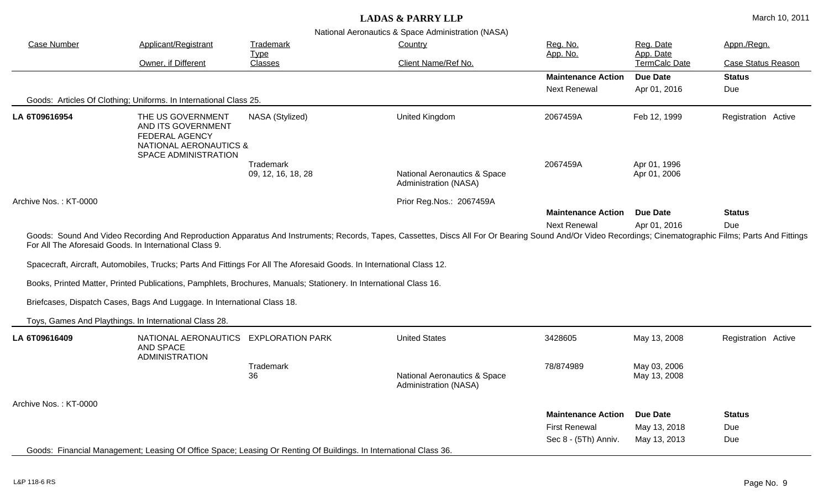| <b>Case Number</b>    | Applicant/Registrant                                                                                                                                                            | Trademark<br>Country<br><b>Type</b> |                                                                                                                                                                                                           | Reg. No.<br>App. No.      | Reg. Date<br>App. Date<br>TermCalc Date | Appn./Regn.               |
|-----------------------|---------------------------------------------------------------------------------------------------------------------------------------------------------------------------------|-------------------------------------|-----------------------------------------------------------------------------------------------------------------------------------------------------------------------------------------------------------|---------------------------|-----------------------------------------|---------------------------|
|                       | Owner, if Different                                                                                                                                                             | Classes                             | Client Name/Ref No.                                                                                                                                                                                       |                           |                                         | <b>Case Status Reason</b> |
|                       |                                                                                                                                                                                 |                                     |                                                                                                                                                                                                           | <b>Maintenance Action</b> | <b>Due Date</b>                         | <b>Status</b>             |
|                       |                                                                                                                                                                                 |                                     |                                                                                                                                                                                                           | <b>Next Renewal</b>       | Apr 01, 2016                            | Due                       |
|                       | Goods: Articles Of Clothing; Uniforms. In International Class 25.                                                                                                               |                                     |                                                                                                                                                                                                           |                           |                                         |                           |
| LA 6T09616954         | THE US GOVERNMENT<br>AND ITS GOVERNMENT<br><b>FEDERAL AGENCY</b><br><b>NATIONAL AERONAUTICS &amp;</b><br>SPACE ADMINISTRATION                                                   | NASA (Stylized)                     | United Kingdom                                                                                                                                                                                            | 2067459A                  | Feb 12, 1999                            | Registration Active       |
|                       |                                                                                                                                                                                 | <b>Trademark</b>                    |                                                                                                                                                                                                           | 2067459A                  | Apr 01, 1996                            |                           |
|                       |                                                                                                                                                                                 | 09, 12, 16, 18, 28                  | National Aeronautics & Space<br>Administration (NASA)                                                                                                                                                     |                           | Apr 01, 2006                            |                           |
| Archive Nos.: KT-0000 |                                                                                                                                                                                 |                                     | Prior Reg.Nos.: 2067459A                                                                                                                                                                                  |                           |                                         |                           |
|                       |                                                                                                                                                                                 |                                     |                                                                                                                                                                                                           | <b>Maintenance Action</b> | <b>Due Date</b>                         | <b>Status</b>             |
|                       |                                                                                                                                                                                 |                                     |                                                                                                                                                                                                           | <b>Next Renewal</b>       | Apr 01, 2016                            | Due                       |
|                       | For All The Aforesaid Goods. In International Class 9.<br>Spacecraft, Aircraft, Automobiles, Trucks; Parts And Fittings For All The Aforesaid Goods. In International Class 12. |                                     | Goods: Sound And Video Recording And Reproduction Apparatus And Instruments; Records, Tapes, Cassettes, Discs All For Or Bearing Sound And/Or Video Recordings; Cinematographic Films; Parts And Fittings |                           |                                         |                           |
|                       | Books, Printed Matter, Printed Publications, Pamphlets, Brochures, Manuals; Stationery. In International Class 16.                                                              |                                     |                                                                                                                                                                                                           |                           |                                         |                           |
|                       | Briefcases, Dispatch Cases, Bags And Luggage. In International Class 18.                                                                                                        |                                     |                                                                                                                                                                                                           |                           |                                         |                           |
|                       | Toys, Games And Playthings. In International Class 28.                                                                                                                          |                                     |                                                                                                                                                                                                           |                           |                                         |                           |
| LA 6T09616409         | NATIONAL AERONAUTICS EXPLORATION PARK<br><b>AND SPACE</b><br><b>ADMINISTRATION</b>                                                                                              |                                     | <b>United States</b>                                                                                                                                                                                      | 3428605                   | May 13, 2008                            | Registration Active       |
|                       |                                                                                                                                                                                 | Trademark<br>36                     | National Aeronautics & Space<br>Administration (NASA)                                                                                                                                                     | 78/874989                 | May 03, 2006<br>May 13, 2008            |                           |
| Archive Nos.: KT-0000 |                                                                                                                                                                                 |                                     |                                                                                                                                                                                                           |                           |                                         |                           |
|                       |                                                                                                                                                                                 |                                     |                                                                                                                                                                                                           | <b>Maintenance Action</b> | <b>Due Date</b>                         | <b>Status</b>             |
|                       |                                                                                                                                                                                 |                                     |                                                                                                                                                                                                           | <b>First Renewal</b>      | May 13, 2018                            | Due                       |
|                       |                                                                                                                                                                                 |                                     |                                                                                                                                                                                                           | Sec 8 - (5Th) Anniv.      | May 13, 2013                            | Due                       |
|                       | Goods: Financial Management; Leasing Of Office Space; Leasing Or Renting Of Buildings. In International Class 36.                                                               |                                     |                                                                                                                                                                                                           |                           |                                         |                           |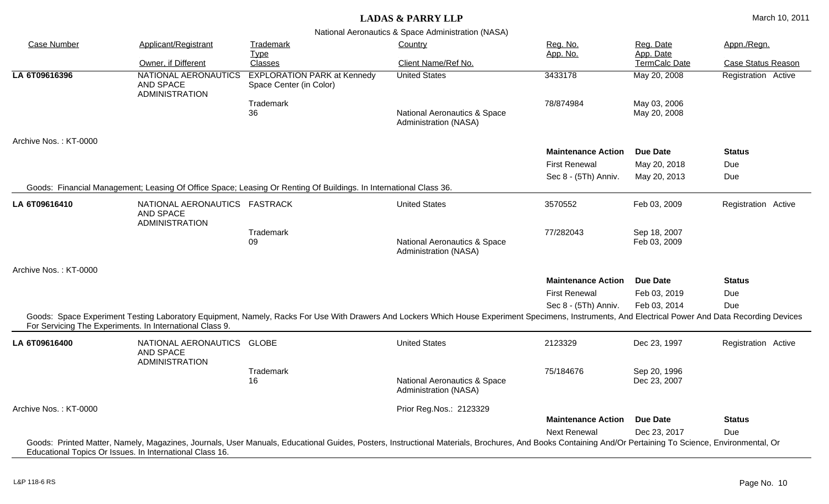| <b>Case Number</b>    | Applicant/Registrant                                                    | Trademark                                                                                                         | Country                                                                                                                                                                                                 | Reg. No.                  | Reg. Date                    | Appn./Regn.               |
|-----------------------|-------------------------------------------------------------------------|-------------------------------------------------------------------------------------------------------------------|---------------------------------------------------------------------------------------------------------------------------------------------------------------------------------------------------------|---------------------------|------------------------------|---------------------------|
|                       | Owner, if Different                                                     | <b>Type</b><br>Classes                                                                                            | Client Name/Ref No.                                                                                                                                                                                     | App. No.                  | App. Date<br>TermCalc Date   | <b>Case Status Reason</b> |
| LA 6T09616396         | NATIONAL AERONAUTICS<br>AND SPACE<br><b>ADMINISTRATION</b>              | <b>EXPLORATION PARK at Kennedy</b><br>Space Center (in Color)                                                     | <b>United States</b>                                                                                                                                                                                    | 3433178                   | May 20, 2008                 | Registration Active       |
|                       |                                                                         | Trademark<br>36                                                                                                   | National Aeronautics & Space<br>Administration (NASA)                                                                                                                                                   | 78/874984                 | May 03, 2006<br>May 20, 2008 |                           |
| Archive Nos.: KT-0000 |                                                                         |                                                                                                                   |                                                                                                                                                                                                         |                           |                              |                           |
|                       |                                                                         |                                                                                                                   |                                                                                                                                                                                                         | <b>Maintenance Action</b> | Due Date                     | <b>Status</b>             |
|                       |                                                                         |                                                                                                                   |                                                                                                                                                                                                         | <b>First Renewal</b>      | May 20, 2018                 | Due                       |
|                       |                                                                         |                                                                                                                   |                                                                                                                                                                                                         | Sec 8 - (5Th) Anniv.      | May 20, 2013                 | Due                       |
|                       |                                                                         | Goods: Financial Management; Leasing Of Office Space; Leasing Or Renting Of Buildings. In International Class 36. |                                                                                                                                                                                                         |                           |                              |                           |
| LA 6T09616410         | NATIONAL AERONAUTICS FASTRACK<br>AND SPACE<br><b>ADMINISTRATION</b>     |                                                                                                                   | <b>United States</b>                                                                                                                                                                                    | 3570552                   | Feb 03, 2009                 | Registration Active       |
|                       |                                                                         | Trademark<br>09                                                                                                   | National Aeronautics & Space<br>Administration (NASA)                                                                                                                                                   | 77/282043                 | Sep 18, 2007<br>Feb 03, 2009 |                           |
| Archive Nos.: KT-0000 |                                                                         |                                                                                                                   |                                                                                                                                                                                                         |                           |                              |                           |
|                       |                                                                         |                                                                                                                   |                                                                                                                                                                                                         | <b>Maintenance Action</b> | Due Date                     | <b>Status</b>             |
|                       |                                                                         |                                                                                                                   |                                                                                                                                                                                                         | <b>First Renewal</b>      | Feb 03, 2019                 | Due                       |
|                       |                                                                         |                                                                                                                   |                                                                                                                                                                                                         | Sec 8 - (5Th) Anniv.      | Feb 03, 2014                 | Due                       |
|                       | For Servicing The Experiments. In International Class 9.                |                                                                                                                   | Goods: Space Experiment Testing Laboratory Equipment, Namely, Racks For Use With Drawers And Lockers Which House Experiment Specimens, Instruments, And Electrical Power And Data Recording Devices     |                           |                              |                           |
| LA 6T09616400         | NATIONAL AERONAUTICS GLOBE<br><b>AND SPACE</b><br><b>ADMINISTRATION</b> |                                                                                                                   | <b>United States</b>                                                                                                                                                                                    | 2123329                   | Dec 23, 1997                 | Registration Active       |
|                       |                                                                         | Trademark<br>16                                                                                                   | <b>National Aeronautics &amp; Space</b><br>Administration (NASA)                                                                                                                                        | 75/184676                 | Sep 20, 1996<br>Dec 23, 2007 |                           |
| Archive Nos.: KT-0000 |                                                                         |                                                                                                                   | Prior Reg.Nos.: 2123329                                                                                                                                                                                 |                           |                              |                           |
|                       |                                                                         |                                                                                                                   |                                                                                                                                                                                                         | <b>Maintenance Action</b> | <b>Due Date</b>              | <b>Status</b>             |
|                       |                                                                         |                                                                                                                   |                                                                                                                                                                                                         | <b>Next Renewal</b>       | Dec 23, 2017                 | Due                       |
|                       |                                                                         |                                                                                                                   | Goods: Printed Matter, Namely, Magazines, Journals, User Manuals, Educational Guides, Posters, Instructional Materials, Brochures, And Books Containing And/Or Pertaining To Science, Environmental, Or |                           |                              |                           |
|                       | Educational Topics Or Issues. In International Class 16.                |                                                                                                                   |                                                                                                                                                                                                         |                           |                              |                           |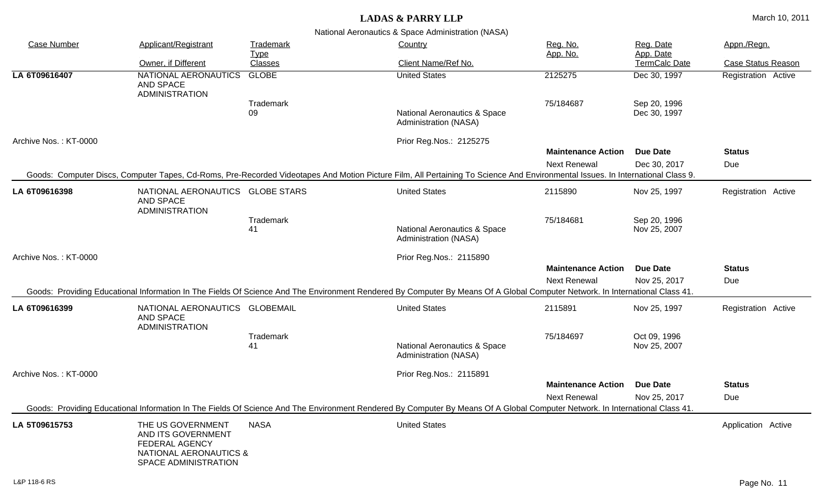| <b>Case Number</b>    | Applicant/Registrant                                                                                                          | <u>Trademark</u><br><u>Type</u> | Country                                                                                                                                                                        | Reg. No.<br>App. No.                             | Reg. Date<br>App. Date          | Appn./Regn.               |  |
|-----------------------|-------------------------------------------------------------------------------------------------------------------------------|---------------------------------|--------------------------------------------------------------------------------------------------------------------------------------------------------------------------------|--------------------------------------------------|---------------------------------|---------------------------|--|
|                       | Owner, if Different                                                                                                           | <b>Classes</b>                  | Client Name/Ref No.                                                                                                                                                            |                                                  | TermCalc Date                   | <b>Case Status Reason</b> |  |
| LA 6T09616407         | NATIONAL AERONAUTICS<br>AND SPACE<br><b>ADMINISTRATION</b>                                                                    | <b>GLOBE</b>                    | <b>United States</b>                                                                                                                                                           | 2125275                                          | Dec 30, 1997                    | Registration Active       |  |
|                       |                                                                                                                               | Trademark<br>09                 | National Aeronautics & Space<br>Administration (NASA)                                                                                                                          | 75/184687                                        | Sep 20, 1996<br>Dec 30, 1997    |                           |  |
| Archive Nos.: KT-0000 |                                                                                                                               |                                 | Prior Reg.Nos.: 2125275                                                                                                                                                        |                                                  |                                 |                           |  |
|                       |                                                                                                                               |                                 |                                                                                                                                                                                | <b>Maintenance Action</b>                        | <b>Due Date</b>                 | <b>Status</b>             |  |
|                       |                                                                                                                               |                                 | Goods: Computer Discs, Computer Tapes, Cd-Roms, Pre-Recorded Videotapes And Motion Picture Film, All Pertaining To Science And Environmental Issues. In International Class 9. | <b>Next Renewal</b>                              | Dec 30, 2017                    | Due                       |  |
| LA 6T09616398         | NATIONAL AERONAUTICS GLOBE STARS<br><b>AND SPACE</b><br><b>ADMINISTRATION</b>                                                 |                                 | <b>United States</b>                                                                                                                                                           | 2115890                                          | Nov 25, 1997                    | Registration Active       |  |
|                       |                                                                                                                               | Trademark<br>41                 | National Aeronautics & Space<br>Administration (NASA)                                                                                                                          | 75/184681                                        | Sep 20, 1996<br>Nov 25, 2007    |                           |  |
| Archive Nos.: KT-0000 |                                                                                                                               |                                 | Prior Reg.Nos.: 2115890                                                                                                                                                        |                                                  |                                 |                           |  |
|                       |                                                                                                                               |                                 | Goods: Providing Educational Information In The Fields Of Science And The Environment Rendered By Computer By Means Of A Global Computer Network. In International Class 41.   | <b>Maintenance Action</b><br><b>Next Renewal</b> | <b>Due Date</b><br>Nov 25, 2017 | <b>Status</b><br>Due      |  |
| LA 6T09616399         | NATIONAL AERONAUTICS GLOBEMAIL<br>AND SPACE<br><b>ADMINISTRATION</b>                                                          |                                 | <b>United States</b>                                                                                                                                                           | 2115891                                          | Nov 25, 1997                    | Registration Active       |  |
|                       |                                                                                                                               | Trademark<br>41                 | National Aeronautics & Space<br>Administration (NASA)                                                                                                                          | 75/184697                                        | Oct 09, 1996<br>Nov 25, 2007    |                           |  |
| Archive Nos.: KT-0000 |                                                                                                                               |                                 | Prior Reg.Nos.: 2115891                                                                                                                                                        |                                                  |                                 |                           |  |
|                       |                                                                                                                               |                                 |                                                                                                                                                                                | <b>Maintenance Action</b>                        | <b>Due Date</b>                 | <b>Status</b>             |  |
|                       |                                                                                                                               |                                 | Goods: Providing Educational Information In The Fields Of Science And The Environment Rendered By Computer By Means Of A Global Computer Network. In International Class 41.   | <b>Next Renewal</b>                              | Nov 25, 2017                    | Due                       |  |
| LA 5T09615753         | THE US GOVERNMENT<br>AND ITS GOVERNMENT<br><b>FEDERAL AGENCY</b><br><b>NATIONAL AERONAUTICS &amp;</b><br>SPACE ADMINISTRATION | <b>NASA</b>                     | <b>United States</b>                                                                                                                                                           |                                                  |                                 | Application Active        |  |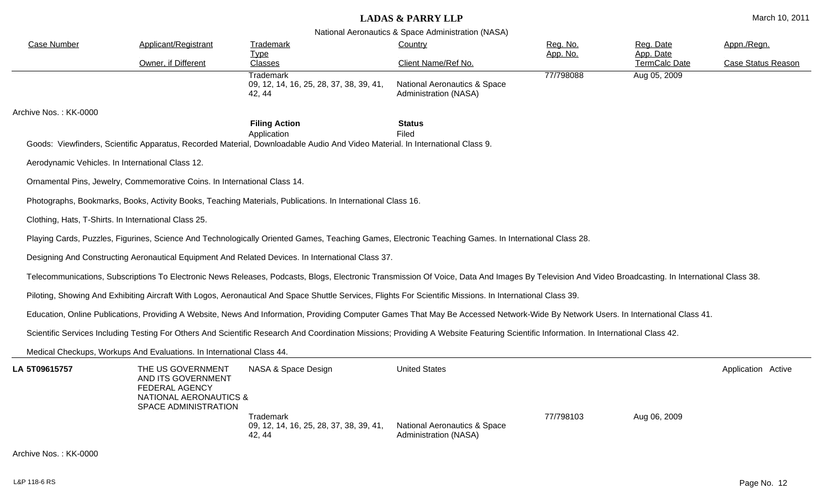| <b>Case Number</b>    | <b>Applicant/Registrant</b>                                                                                        | <b>Trademark</b><br><b>Type</b>                                                                                                                                                                    | Country                                               | Reg. No.<br>App. No. | Reg. Date<br>App. Date | Appn./Regn.               |
|-----------------------|--------------------------------------------------------------------------------------------------------------------|----------------------------------------------------------------------------------------------------------------------------------------------------------------------------------------------------|-------------------------------------------------------|----------------------|------------------------|---------------------------|
|                       | Owner, if Different                                                                                                | <b>Classes</b>                                                                                                                                                                                     | Client Name/Ref No.                                   |                      | TermCalc Date          | <b>Case Status Reason</b> |
|                       |                                                                                                                    | <b>Trademark</b><br>09, 12, 14, 16, 25, 28, 37, 38, 39, 41,<br>42, 44                                                                                                                              | National Aeronautics & Space<br>Administration (NASA) | 77/798088            | Aug 05, 2009           |                           |
| Archive Nos.: KK-0000 |                                                                                                                    |                                                                                                                                                                                                    |                                                       |                      |                        |                           |
|                       |                                                                                                                    | <b>Filing Action</b>                                                                                                                                                                               | <b>Status</b>                                         |                      |                        |                           |
|                       |                                                                                                                    | Application<br>Goods: Viewfinders, Scientific Apparatus, Recorded Material, Downloadable Audio And Video Material. In International Class 9.                                                       | Filed                                                 |                      |                        |                           |
|                       | Aerodynamic Vehicles. In International Class 12.                                                                   |                                                                                                                                                                                                    |                                                       |                      |                        |                           |
|                       | Ornamental Pins, Jewelry, Commemorative Coins. In International Class 14.                                          |                                                                                                                                                                                                    |                                                       |                      |                        |                           |
|                       |                                                                                                                    | Photographs, Bookmarks, Books, Activity Books, Teaching Materials, Publications. In International Class 16.                                                                                        |                                                       |                      |                        |                           |
|                       | Clothing, Hats, T-Shirts. In International Class 25.                                                               |                                                                                                                                                                                                    |                                                       |                      |                        |                           |
|                       |                                                                                                                    | Playing Cards, Puzzles, Figurines, Science And Technologically Oriented Games, Teaching Games, Electronic Teaching Games. In International Class 28.                                               |                                                       |                      |                        |                           |
|                       |                                                                                                                    | Designing And Constructing Aeronautical Equipment And Related Devices. In International Class 37.                                                                                                  |                                                       |                      |                        |                           |
|                       |                                                                                                                    | Telecommunications, Subscriptions To Electronic News Releases, Podcasts, Blogs, Electronic Transmission Of Voice, Data And Images By Television And Video Broadcasting. In International Class 38. |                                                       |                      |                        |                           |
|                       |                                                                                                                    | Piloting, Showing And Exhibiting Aircraft With Logos, Aeronautical And Space Shuttle Services, Flights For Scientific Missions. In International Class 39.                                         |                                                       |                      |                        |                           |
|                       |                                                                                                                    | Education, Online Publications, Providing A Website, News And Information, Providing Computer Games That May Be Accessed Network-Wide By Network Users. In International Class 41.                 |                                                       |                      |                        |                           |
|                       |                                                                                                                    | Scientific Services Including Testing For Others And Scientific Research And Coordination Missions; Providing A Website Featuring Scientific Information. In International Class 42.               |                                                       |                      |                        |                           |
|                       | Medical Checkups, Workups And Evaluations. In International Class 44.                                              |                                                                                                                                                                                                    |                                                       |                      |                        |                           |
| LA 5T09615757         | THE US GOVERNMENT<br>AND ITS GOVERNMENT<br><b>FEDERAL AGENCY</b><br>NATIONAL AERONAUTICS &<br>SPACE ADMINISTRATION | NASA & Space Design                                                                                                                                                                                | <b>United States</b>                                  |                      |                        | Application Active        |
|                       |                                                                                                                    | Trademark<br>09, 12, 14, 16, 25, 28, 37, 38, 39, 41,<br>42, 44                                                                                                                                     | National Aeronautics & Space<br>Administration (NASA) | 77/798103            | Aug 06, 2009           |                           |
| Archive Nos.: KK-0000 |                                                                                                                    |                                                                                                                                                                                                    |                                                       |                      |                        |                           |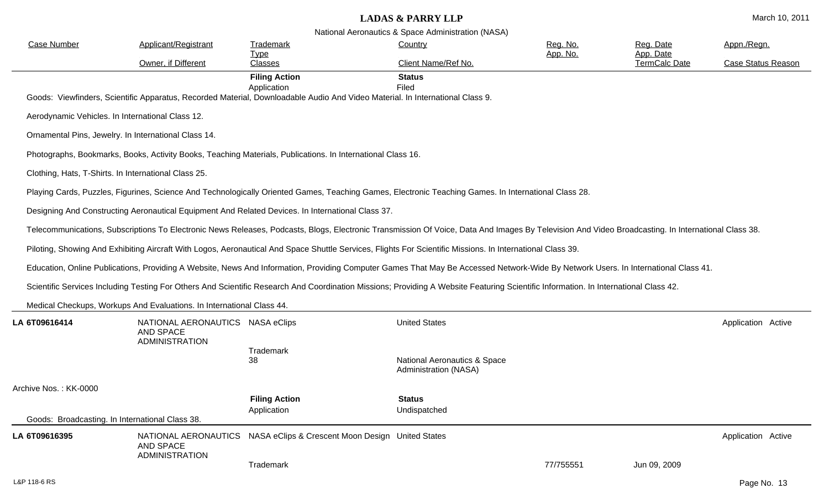| <b>Case Number</b>    | Applicant/Registrant                                                   | Trademark                                                                                                                                                                                          | Country                                               | Reg. No.  | Reg. Date                  | Appn./Regn.        |
|-----------------------|------------------------------------------------------------------------|----------------------------------------------------------------------------------------------------------------------------------------------------------------------------------------------------|-------------------------------------------------------|-----------|----------------------------|--------------------|
|                       | Owner, if Different                                                    | <u>Type</u><br><b>Classes</b>                                                                                                                                                                      | Client Name/Ref No.                                   | App. No.  | App. Date<br>TermCalc Date | Case Status Reason |
|                       |                                                                        | <b>Filing Action</b><br>Application<br>Goods: Viewfinders, Scientific Apparatus, Recorded Material, Downloadable Audio And Video Material. In International Class 9.                               | <b>Status</b><br>Filed                                |           |                            |                    |
|                       | Aerodynamic Vehicles. In International Class 12.                       |                                                                                                                                                                                                    |                                                       |           |                            |                    |
|                       | Ornamental Pins, Jewelry. In International Class 14.                   |                                                                                                                                                                                                    |                                                       |           |                            |                    |
|                       |                                                                        | Photographs, Bookmarks, Books, Activity Books, Teaching Materials, Publications. In International Class 16.                                                                                        |                                                       |           |                            |                    |
|                       | Clothing, Hats, T-Shirts. In International Class 25.                   |                                                                                                                                                                                                    |                                                       |           |                            |                    |
|                       |                                                                        | Playing Cards, Puzzles, Figurines, Science And Technologically Oriented Games, Teaching Games, Electronic Teaching Games. In International Class 28.                                               |                                                       |           |                            |                    |
|                       |                                                                        | Designing And Constructing Aeronautical Equipment And Related Devices. In International Class 37.                                                                                                  |                                                       |           |                            |                    |
|                       |                                                                        | Telecommunications, Subscriptions To Electronic News Releases, Podcasts, Blogs, Electronic Transmission Of Voice, Data And Images By Television And Video Broadcasting. In International Class 38. |                                                       |           |                            |                    |
|                       |                                                                        | Piloting, Showing And Exhibiting Aircraft With Logos, Aeronautical And Space Shuttle Services, Flights For Scientific Missions. In International Class 39.                                         |                                                       |           |                            |                    |
|                       |                                                                        | Education, Online Publications, Providing A Website, News And Information, Providing Computer Games That May Be Accessed Network-Wide By Network Users. In International Class 41.                 |                                                       |           |                            |                    |
|                       |                                                                        | Scientific Services Including Testing For Others And Scientific Research And Coordination Missions; Providing A Website Featuring Scientific Information. In International Class 42.               |                                                       |           |                            |                    |
|                       | Medical Checkups, Workups And Evaluations. In International Class 44.  |                                                                                                                                                                                                    |                                                       |           |                            |                    |
| LA 6T09616414         | NATIONAL AERONAUTICS NASA eClips<br>AND SPACE<br><b>ADMINISTRATION</b> |                                                                                                                                                                                                    | <b>United States</b>                                  |           |                            | Application Active |
|                       |                                                                        | Trademark<br>38                                                                                                                                                                                    | National Aeronautics & Space<br>Administration (NASA) |           |                            |                    |
| Archive Nos.: KK-0000 |                                                                        |                                                                                                                                                                                                    |                                                       |           |                            |                    |
|                       |                                                                        | <b>Filing Action</b><br>Application                                                                                                                                                                | <b>Status</b><br>Undispatched                         |           |                            |                    |
|                       | Goods: Broadcasting. In International Class 38.                        |                                                                                                                                                                                                    |                                                       |           |                            |                    |
| LA 6T09616395         | NATIONAL AERONAUTICS<br>AND SPACE<br><b>ADMINISTRATION</b>             | NASA eClips & Crescent Moon Design United States                                                                                                                                                   |                                                       |           |                            | Application Active |
|                       |                                                                        | Trademark                                                                                                                                                                                          |                                                       | 77/755551 | Jun 09, 2009               |                    |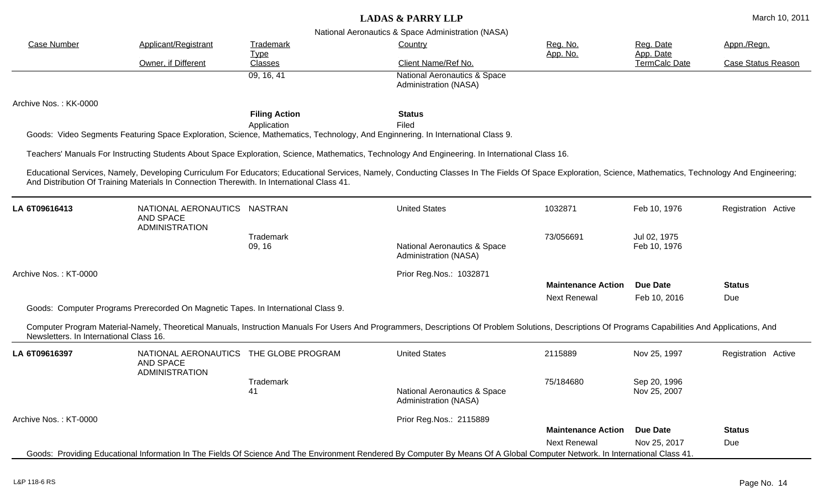| <b>Case Number</b>                      | Applicant/Registrant                                                                       | Trademark<br><b>Type</b><br>Classes | Country                                                                                                                                                                                                   | Reg. No.<br>App. No.      | Reg. Date<br>App. Date<br>TermCalc Date | Appn./Regn.               |  |
|-----------------------------------------|--------------------------------------------------------------------------------------------|-------------------------------------|-----------------------------------------------------------------------------------------------------------------------------------------------------------------------------------------------------------|---------------------------|-----------------------------------------|---------------------------|--|
|                                         | Owner, if Different                                                                        |                                     | Client Name/Ref No.                                                                                                                                                                                       |                           |                                         | <b>Case Status Reason</b> |  |
|                                         |                                                                                            | 09, 16, 41                          | <b>National Aeronautics &amp; Space</b><br>Administration (NASA)                                                                                                                                          |                           |                                         |                           |  |
| Archive Nos.: KK-0000                   |                                                                                            |                                     |                                                                                                                                                                                                           |                           |                                         |                           |  |
|                                         |                                                                                            | <b>Filing Action</b>                | <b>Status</b>                                                                                                                                                                                             |                           |                                         |                           |  |
|                                         |                                                                                            | Application                         | Filed<br>Goods: Video Segments Featuring Space Exploration, Science, Mathematics, Technology, And Enginnering. In International Class 9.                                                                  |                           |                                         |                           |  |
|                                         |                                                                                            |                                     | Teachers' Manuals For Instructing Students About Space Exploration, Science, Mathematics, Technology And Engineering. In International Class 16.                                                          |                           |                                         |                           |  |
|                                         | And Distribution Of Training Materials In Connection Therewith. In International Class 41. |                                     | Educational Services, Namely, Developing Curriculum For Educators; Educational Services, Namely, Conducting Classes In The Fields Of Space Exploration, Science, Mathematics, Technology And Engineering; |                           |                                         |                           |  |
| LA 6T09616413                           | NATIONAL AERONAUTICS NASTRAN<br><b>AND SPACE</b><br><b>ADMINISTRATION</b>                  |                                     | <b>United States</b>                                                                                                                                                                                      | 1032871                   | Feb 10, 1976                            | Registration Active       |  |
|                                         |                                                                                            | Trademark<br>09, 16                 | <b>National Aeronautics &amp; Space</b><br>Administration (NASA)                                                                                                                                          | 73/056691                 | Jul 02, 1975<br>Feb 10, 1976            |                           |  |
| Archive Nos.: KT-0000                   |                                                                                            |                                     | Prior Reg.Nos.: 1032871                                                                                                                                                                                   |                           |                                         |                           |  |
|                                         |                                                                                            |                                     |                                                                                                                                                                                                           | <b>Maintenance Action</b> | <b>Due Date</b>                         | <b>Status</b>             |  |
|                                         | Goods: Computer Programs Prerecorded On Magnetic Tapes. In International Class 9.          |                                     |                                                                                                                                                                                                           | <b>Next Renewal</b>       | Feb 10, 2016                            | Due                       |  |
| Newsletters. In International Class 16. |                                                                                            |                                     | Computer Program Material-Namely, Theoretical Manuals, Instruction Manuals For Users And Programmers, Descriptions Of Problem Solutions, Descriptions Of Programs Capabilities And Applications, And      |                           |                                         |                           |  |
| LA 6T09616397                           | NATIONAL AERONAUTICS THE GLOBE PROGRAM<br><b>AND SPACE</b><br><b>ADMINISTRATION</b>        |                                     | <b>United States</b>                                                                                                                                                                                      | 2115889                   | Nov 25, 1997                            | Registration Active       |  |
|                                         |                                                                                            | Trademark<br>41                     | <b>National Aeronautics &amp; Space</b><br>Administration (NASA)                                                                                                                                          | 75/184680                 | Sep 20, 1996<br>Nov 25, 2007            |                           |  |
| Archive Nos.: KT-0000                   |                                                                                            |                                     | Prior Reg.Nos.: 2115889                                                                                                                                                                                   |                           |                                         |                           |  |
|                                         |                                                                                            |                                     |                                                                                                                                                                                                           | <b>Maintenance Action</b> | Due Date                                | <b>Status</b><br>Due      |  |
|                                         |                                                                                            |                                     |                                                                                                                                                                                                           | <b>Next Renewal</b>       | Nov 25, 2017                            |                           |  |